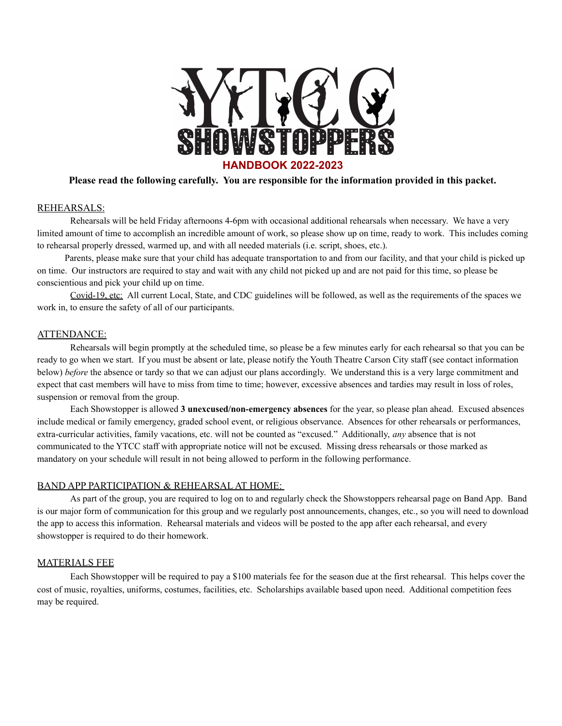

# **Please read the following carefully. You are responsible for the information provided in this packet.**

## REHEARSALS:

Rehearsals will be held Friday afternoons 4-6pm with occasional additional rehearsals when necessary. We have a very limited amount of time to accomplish an incredible amount of work, so please show up on time, ready to work. This includes coming to rehearsal properly dressed, warmed up, and with all needed materials (i.e. script, shoes, etc.).

Parents, please make sure that your child has adequate transportation to and from our facility, and that your child is picked up on time. Our instructors are required to stay and wait with any child not picked up and are not paid for this time, so please be conscientious and pick your child up on time.

Covid-19, etc: All current Local, State, and CDC guidelines will be followed, as well as the requirements of the spaces we work in, to ensure the safety of all of our participants.

### ATTENDANCE:

Rehearsals will begin promptly at the scheduled time, so please be a few minutes early for each rehearsal so that you can be ready to go when we start. If you must be absent or late, please notify the Youth Theatre Carson City staff (see contact information below) *before* the absence or tardy so that we can adjust our plans accordingly. We understand this is a very large commitment and expect that cast members will have to miss from time to time; however, excessive absences and tardies may result in loss of roles, suspension or removal from the group.

Each Showstopper is allowed **3 unexcused/non-emergency absences** for the year, so please plan ahead. Excused absences include medical or family emergency, graded school event, or religious observance. Absences for other rehearsals or performances, extra-curricular activities, family vacations, etc. will not be counted as "excused." Additionally, *any* absence that is not communicated to the YTCC staff with appropriate notice will not be excused. Missing dress rehearsals or those marked as mandatory on your schedule will result in not being allowed to perform in the following performance.

### BAND APP PARTICIPATION & REHEARSAL AT HOME:

As part of the group, you are required to log on to and regularly check the Showstoppers rehearsal page on Band App. Band is our major form of communication for this group and we regularly post announcements, changes, etc., so you will need to download the app to access this information. Rehearsal materials and videos will be posted to the app after each rehearsal, and every showstopper is required to do their homework.

### MATERIALS FEE

Each Showstopper will be required to pay a \$100 materials fee for the season due at the first rehearsal. This helps cover the cost of music, royalties, uniforms, costumes, facilities, etc. Scholarships available based upon need. Additional competition fees may be required.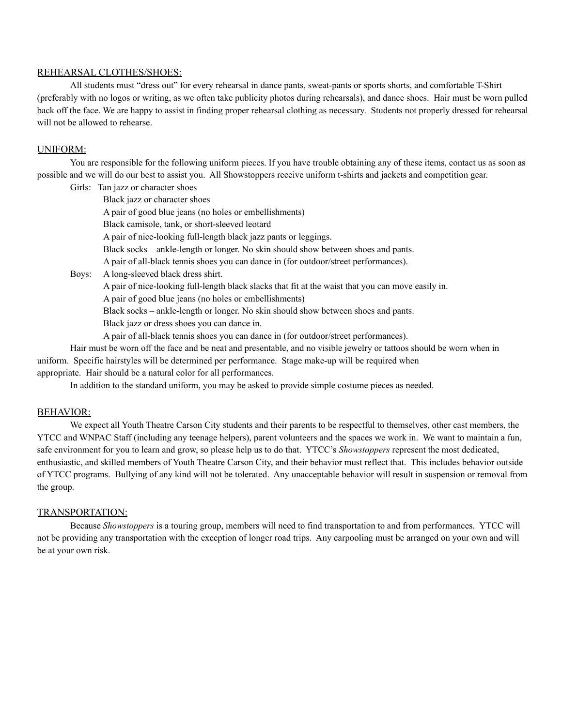# REHEARSAL CLOTHES/SHOES:

All students must "dress out" for every rehearsal in dance pants, sweat-pants or sports shorts, and comfortable T-Shirt (preferably with no logos or writing, as we often take publicity photos during rehearsals), and dance shoes. Hair must be worn pulled back off the face. We are happy to assist in finding proper rehearsal clothing as necessary. Students not properly dressed for rehearsal will not be allowed to rehearse.

## UNIFORM:

You are responsible for the following uniform pieces. If you have trouble obtaining any of these items, contact us as soon as possible and we will do our best to assist you. All Showstoppers receive uniform t-shirts and jackets and competition gear.

Girls: Tan jazz or character shoes

Black jazz or character shoes A pair of good blue jeans (no holes or embellishments) Black camisole, tank, or short-sleeved leotard A pair of nice-looking full-length black jazz pants or leggings.

Black socks – ankle-length or longer. No skin should show between shoes and pants.

A pair of all-black tennis shoes you can dance in (for outdoor/street performances).

Boys: A long-sleeved black dress shirt.

A pair of nice-looking full-length black slacks that fit at the waist that you can move easily in.

A pair of good blue jeans (no holes or embellishments)

Black socks – ankle-length or longer. No skin should show between shoes and pants.

Black jazz or dress shoes you can dance in.

A pair of all-black tennis shoes you can dance in (for outdoor/street performances).

Hair must be worn off the face and be neat and presentable, and no visible jewelry or tattoos should be worn when in uniform. Specific hairstyles will be determined per performance. Stage make-up will be required when appropriate. Hair should be a natural color for all performances.

In addition to the standard uniform, you may be asked to provide simple costume pieces as needed.

# BEHAVIOR:

We expect all Youth Theatre Carson City students and their parents to be respectful to themselves, other cast members, the YTCC and WNPAC Staff (including any teenage helpers), parent volunteers and the spaces we work in. We want to maintain a fun, safe environment for you to learn and grow, so please help us to do that. YTCC's *Showstoppers* represent the most dedicated, enthusiastic, and skilled members of Youth Theatre Carson City, and their behavior must reflect that. This includes behavior outside of YTCC programs. Bullying of any kind will not be tolerated. Any unacceptable behavior will result in suspension or removal from the group.

# TRANSPORTATION:

Because *Showstoppers* is a touring group, members will need to find transportation to and from performances. YTCC will not be providing any transportation with the exception of longer road trips. Any carpooling must be arranged on your own and will be at your own risk.